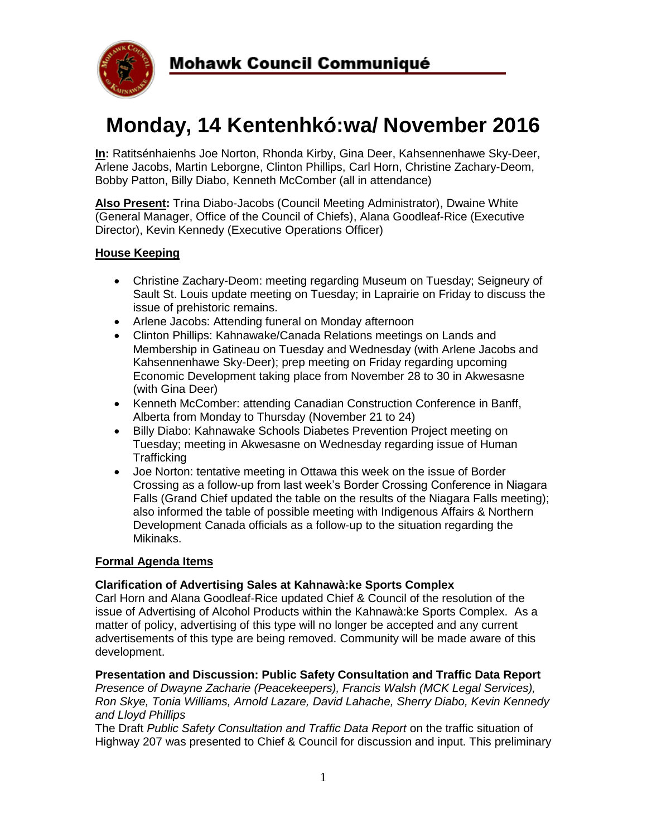

# **Monday, 14 Kentenhkó:wa/ November 2016**

**In:** Ratitsénhaienhs Joe Norton, Rhonda Kirby, Gina Deer, Kahsennenhawe Sky-Deer, Arlene Jacobs, Martin Leborgne, Clinton Phillips, Carl Horn, Christine Zachary-Deom, Bobby Patton, Billy Diabo, Kenneth McComber (all in attendance)

**Also Present:** Trina Diabo-Jacobs (Council Meeting Administrator), Dwaine White (General Manager, Office of the Council of Chiefs), Alana Goodleaf-Rice (Executive Director), Kevin Kennedy (Executive Operations Officer)

#### **House Keeping**

- Christine Zachary-Deom: meeting regarding Museum on Tuesday; Seigneury of Sault St. Louis update meeting on Tuesday; in Laprairie on Friday to discuss the issue of prehistoric remains.
- Arlene Jacobs: Attending funeral on Monday afternoon
- Clinton Phillips: Kahnawake/Canada Relations meetings on Lands and Membership in Gatineau on Tuesday and Wednesday (with Arlene Jacobs and Kahsennenhawe Sky-Deer); prep meeting on Friday regarding upcoming Economic Development taking place from November 28 to 30 in Akwesasne (with Gina Deer)
- Kenneth McComber: attending Canadian Construction Conference in Banff, Alberta from Monday to Thursday (November 21 to 24)
- Billy Diabo: Kahnawake Schools Diabetes Prevention Project meeting on Tuesday; meeting in Akwesasne on Wednesday regarding issue of Human **Trafficking**
- Joe Norton: tentative meeting in Ottawa this week on the issue of Border Crossing as a follow-up from last week's Border Crossing Conference in Niagara Falls (Grand Chief updated the table on the results of the Niagara Falls meeting); also informed the table of possible meeting with Indigenous Affairs & Northern Development Canada officials as a follow-up to the situation regarding the Mikinaks.

#### **Formal Agenda Items**

#### **Clarification of Advertising Sales at Kahnawà:ke Sports Complex**

Carl Horn and Alana Goodleaf-Rice updated Chief & Council of the resolution of the issue of Advertising of Alcohol Products within the Kahnawà:ke Sports Complex. As a matter of policy, advertising of this type will no longer be accepted and any current advertisements of this type are being removed. Community will be made aware of this development.

#### **Presentation and Discussion: Public Safety Consultation and Traffic Data Report**

*Presence of Dwayne Zacharie (Peacekeepers), Francis Walsh (MCK Legal Services), Ron Skye, Tonia Williams, Arnold Lazare, David Lahache, Sherry Diabo, Kevin Kennedy and Lloyd Phillips*

The Draft *Public Safety Consultation and Traffic Data Report* on the traffic situation of Highway 207 was presented to Chief & Council for discussion and input. This preliminary